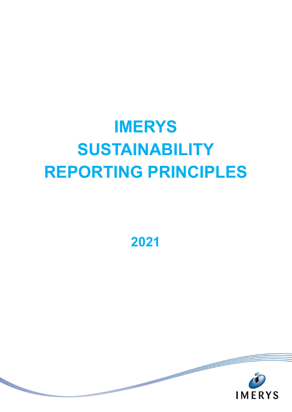**2021**

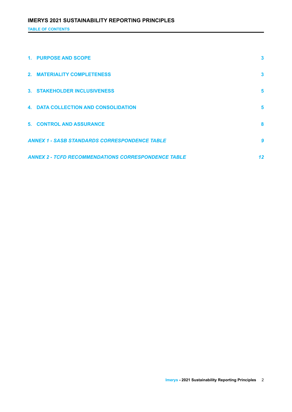**TABLE OF CONTENTS**

| 1. PURPOSE AND SCOPE                                       | 3  |
|------------------------------------------------------------|----|
| 2. MATERIALITY COMPLETENESS                                | 3  |
| 3. STAKEHOLDER INCLUSIVENESS                               | 5  |
| <b>4. DATA COLLECTION AND CONSOLIDATION</b>                | 5  |
| <b>5. CONTROL AND ASSURANCE</b>                            | 8  |
| <b>ANNEX 1 - SASB STANDARDS CORRESPONDENCE TABLE</b>       | 9  |
| <b>ANNEX 2 - TCFD RECOMMENDATIONS CORRESPONDENCE TABLE</b> | 12 |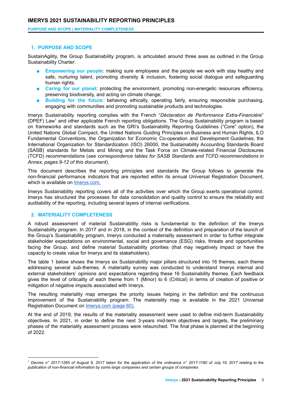**PURPOSE AND SCOPE | MATERIALITY COMPLETENESS**

#### <span id="page-2-0"></span>**1. PURPOSE AND SCOPE**

SustainAgility, the Group Sustainability program, is articulated around three axes as outlined in the Group Sustainability Charter:

- **Empowering our people:** making sure employees and the people we work with stay healthy and safe, nurturing talent, promoting diversity & inclusion, fostering social dialogue and safeguarding human rights;
- **Caring for our planet:** protecting the environment, promoting non-energetic resources efficiency, preserving biodiversity, and acting on climate change;
- **Building for the future**: behaving ethically, operating fairly, ensuring responsible purchasing, engaging with communities and promoting sustainable products and technologies.

Imerys Sustainability reporting complies with the French "*Déclaration de Performance Extra-Financière*" (DPEF) Law<sup>1</sup> and other applicable French reporting obligations. The Group Sustainability program is based on frameworks and standards such as the GRI's Sustainability Reporting Guidelines ("Core" option), the United Nations Global Compact, the United Nations Guiding Principles on Business and Human Rights, ILO Fundamental Conventions, the Organization for Economic Co-operation and Development Guidelines, the International Organization for Standardization (ISO) 26000, the Sustainability Accounting Standards Board (SASB) standards for Metals and Mining and the Task Force on [Climate-related](https://www.fsb-tcfd.org/) Financial Disclosures (TCFD) recommendations (*see correspondence tables for SASB Standards and TCFD recommendations in Annex, pages 9-12 of this document*).

This document describes the reporting principles and standards the Group follows to generate the non-financial performance indicators that are reported within its annual Universal Registration Document, which is available on [Imerys.com.](https://www.imerys.com/media-room/publications)

Imerys Sustainability reporting covers all of the activities over which the Group exerts operational control. Imerys has structured the processes for data consolidation and quality control to ensure the reliability and auditability of the reporting, including several layers of internal verifications.

# <span id="page-2-1"></span>**2. MATERIALITY COMPLETENESS**

A robust assessment of material Sustainability risks is fundamental to the definition of the Imerys Sustainability program. In 2017 and in 2018, in the context of the definition and preparation of the launch of the Group's Sustainability program, Imerys conducted a materiality assessment in order to further integrate stakeholder expectations on environmental, social and governance (ESG) risks, threats and opportunities facing the Group, and define material Sustainability priorities (that may negatively impact or have the capacity to create value for Imerys and its stakeholders).

The table 1 below shows the Imerys six Sustainability major pillars structured into 16 themes; each theme addressing several sub-themes. A materiality survey was conducted to understand Imerys internal and external stakeholders' opinions and expectations regarding these 16 Sustainability themes. Each feedback gives the level of criticality of each theme from 1 (Minor) to 6 (Critical) in terms of creation of positive or mitigation of negative impacts associated with Imerys.

The resulting materiality map emerges the priority issues helping in the definition and the continuous improvement of the Sustainability program. The materiality map is available in the 2021 Universal Registration Document on [Imerys.com](https://www.imerys.com/media-room/publications) (page 60).

At the end of 2019, the results of the materiality assessment were used to define mid-term Sustainability objectives. In 2021, in order to define the next 3-years mid-term objectives and targets, the preliminary phases of the materiality assessment process were relaunched. The final phase is planned at the beginning of 2022.

<sup>&</sup>lt;sup>1</sup> Decree n° 2017-1265 of August 9, 2017 taken for the application of the ordinance n° 2017-1180 of July 19, 2017 relating to the *publication of non-financial information by some large companies and certain groups of companies*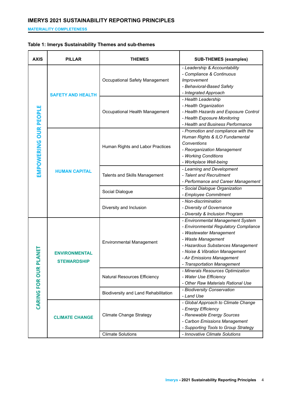**MATERIALITY COMPLETENESS**

# **Table 1: Imerys Sustainability Themes and sub-themes**

| <b>AXIS</b>           | <b>PILLAR</b><br><b>THEMES</b>             |                                      | <b>SUB-THEMES (examples)</b>                                                                                                                                                                                                                                    |
|-----------------------|--------------------------------------------|--------------------------------------|-----------------------------------------------------------------------------------------------------------------------------------------------------------------------------------------------------------------------------------------------------------------|
|                       | <b>SAFETY AND HEALTH</b>                   | Occupational Safety Management       | - Leadership & Accountability<br>- Compliance & Continuous<br>Improvement<br>- Behavioral-Based Safety<br>- Integrated Approach                                                                                                                                 |
|                       |                                            | Occupational Health Management       | - Health Leadership<br>- Health Organization<br>- Health Hazards and Exposure Control<br>- Health Exposure Monitoring<br>- Health and Business Performance                                                                                                      |
| EMPOWERING OUR PEOPLE | <b>HUMAN CAPITAL</b>                       | Human Rights and Labor Practices     | - Promotion and compliance with the<br>Human Rights & ILO Fundamental<br>Conventions<br>- Reorganization Management<br>- Working Conditions<br>- Workplace Well-being                                                                                           |
|                       |                                            | Talents and Skills Management        | - Learning and Development<br>- Talent and Recruitment<br>- Performance and Career Management                                                                                                                                                                   |
|                       |                                            | Social Dialogue                      | - Social Dialogue Organization<br>- Employee Commitment                                                                                                                                                                                                         |
|                       |                                            | Diversity and Inclusion              | - Non-discrimination<br>- Diversity of Governance<br>- Diversity & Inclusion Program                                                                                                                                                                            |
| <b>R PLANET</b>       | <b>ENVIRONMENTAL</b><br><b>STEWARDSHIP</b> | <b>Environmental Management</b>      | - Environmental Management System<br>- Environmental Regulatory Compliance<br>- Wastewater Management<br>- Waste Management<br>- Hazardous Substances Management<br>- Noise & Vibration Management<br>- Air Emissions Management<br>- Transportation Management |
| ᇹ                     |                                            | Natural Resources Efficiency         | - Minerals Resources Optimization<br>- Water Use Efficiency<br>- Other Raw Materials Rational Use                                                                                                                                                               |
| <b>CARING FOR</b>     |                                            | Biodiversity and Land Rehabilitation | - Biodiversity Conservation<br>- Land Use                                                                                                                                                                                                                       |
|                       | <b>CLIMATE CHANGE</b>                      | <b>Climate Change Strategy</b>       | - Global Approach to Climate Change<br>- Energy Efficiency<br>- Renewable Energy Sources<br>- Carbon Emissions Management<br>- Supporting Tools to Group Strategy                                                                                               |
|                       |                                            | <b>Climate Solutions</b>             | - Innovative Climate Solutions                                                                                                                                                                                                                                  |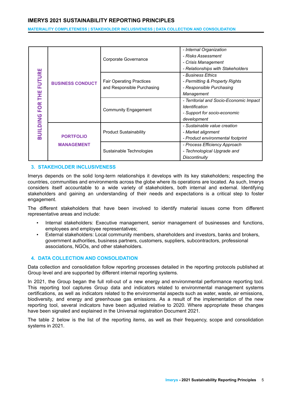**MATERIALITY COMPLETENESS | STAKEHOLDER INCLUSIVENESS | DATA COLLECTION AND CONSOLIDATION**

|                  |                                       |                                 | - Internal Organization                 |
|------------------|---------------------------------------|---------------------------------|-----------------------------------------|
|                  |                                       | Corporate Governance            | - Risks Assessment                      |
|                  |                                       |                                 | - Crisis Management                     |
|                  |                                       |                                 | - Relationships with Stakeholders       |
| <b>FUTURE</b>    |                                       |                                 | - Business Ethics                       |
|                  | <b>BUSINESS CONDUCT</b>               | <b>Fair Operating Practices</b> | - Permitting & Property Rights          |
|                  |                                       | and Responsible Purchasing      | - Responsible Purchasing                |
| Ĕ                |                                       |                                 | Management                              |
|                  |                                       |                                 | - Territorial and Socio-Economic Impact |
| FOR <sup>-</sup> |                                       | <b>Community Engagement</b>     | Identification                          |
|                  |                                       |                                 | - Support for socio-economic            |
| <b>BUILDING</b>  |                                       |                                 | development                             |
|                  |                                       |                                 | - Sustainable value creation            |
|                  | <b>PORTFOLIO</b><br><b>MANAGEMENT</b> | <b>Product Sustainability</b>   | - Market alignment                      |
|                  |                                       |                                 | - Product environmental footprint       |
|                  |                                       |                                 | - Process Efficiency Approach           |
|                  |                                       | Sustainable Technologies        | - Technological Upgrade and             |
|                  |                                       |                                 | <b>Discontinuity</b>                    |

## **3. STAKEHOLDER INCLUSIVENESS**

Imerys depends on the solid long-term relationships it develops with its key stakeholders; respecting the countries, communities and environments across the globe where its operations are located. As such, Imerys considers itself accountable to a wide variety of stakeholders, both internal and external. Identifying stakeholders and gaining an understanding of their needs and expectations is a critical step to foster engagement.

The different stakeholders that have been involved to identify material issues come from different representative areas and include:

- Internal stakeholders: Executive management, senior management of businesses and functions, employees and employee representatives;
- External stakeholders: Local community members, shareholders and investors, banks and brokers, government authorities, business partners, customers, suppliers, subcontractors, professional associations, NGOs, and other stakeholders.

# <span id="page-4-0"></span>**4. DATA COLLECTION AND CONSOLIDATION**

Data collection and consolidation follow reporting processes detailed in the reporting protocols published at Group level and are supported by different internal reporting systems.

In 2021, the Group began the full roll-out of a new energy and environmental performance reporting tool. This reporting tool captures Group data and indicators related to environmental management systems certifications, as well as indicators related to the environmental aspects such as water, waste, air emissions, biodiversity, and energy and greenhouse gas emissions. As a result of the implementation of the new reporting tool, several indicators have been adjusted relative to 2020. Where appropriate these changes have been signaled and explained in the Universal registration Document 2021.

The table 2 below is the list of the reporting items, as well as their frequency, scope and consolidation systems in 2021.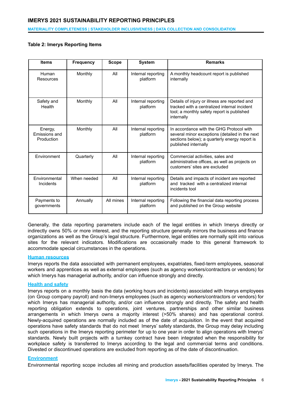#### **MATERIALITY COMPLETENESS | STAKEHOLDER INCLUSIVENESS | DATA COLLECTION AND CONSOLIDATION**

## **Table 2: Imerys Reporting Items**

| <b>Items</b>                           | <b>Frequency</b> | <b>Scope</b> | <b>System</b>                  | <b>Remarks</b>                                                                                                                                                      |
|----------------------------------------|------------------|--------------|--------------------------------|---------------------------------------------------------------------------------------------------------------------------------------------------------------------|
| Human<br>Resources                     | Monthly          | All          | Internal reporting<br>platform | A monthly headcount report is published<br>internally                                                                                                               |
| Safety and<br>Health                   | Monthly          | All          | Internal reporting<br>platform | Details of injury or illness are reported and<br>tracked with a centralized internal incident<br>tool; a monthly safety report is published<br>internally           |
| Energy,<br>Emissions and<br>Production | Monthly          | All          | Internal reporting<br>platform | In accordance with the GHG Protocol with<br>several minor exceptions (detailed in the next<br>sections below); a quarterly energy report is<br>published internally |
| Environment                            | Quarterly        | All          | Internal reporting<br>platform | Commercial activities, sales and<br>administrative offices, as well as projects on<br>customers' sites are excluded                                                 |
| Environmental<br>Incidents             | When needed      | All          | Internal reporting<br>platform | Details and impacts of incident are reported<br>and tracked with a centralized internal<br>incidents tool                                                           |
| Payments to<br>governments             | Annually         | All mines    | Internal reporting<br>platform | Following the financial data reporting process<br>and published on the Group website                                                                                |

Generally, the data reporting parameters include each of the legal entities in which Imerys directly or indirectly owns 50% or more interest, and the reporting structure generally mirrors the business and finance organizations as well as the Group's legal structure. Furthermore, legal entities are normally split into various sites for the relevant indicators. Modifications are occasionally made to this general framework to accommodate special circumstances in the operations.

#### **Human resources**

Imerys reports the data associated with permanent employees, expatriates, fixed-term employees, seasonal workers and apprentices as well as external employees (such as agency workers/contractors or vendors) for which Imerys has managerial authority, and/or can influence strongly and directly.

#### **Health and safety**

Imerys reports on a monthly basis the data (working hours and incidents) associated with Imerys employees (on Group company payroll) and non-Imerys employees (such as agency workers/contractors or vendors) for which Imerys has managerial authority, and/or can influence strongly and directly. The safety and health reporting obligation extends to operations, joint ventures, partnerships and other similar business arrangements in which Imerys owns a majority interest (>50% shares) and has operational control. Newly-acquired operations are normally included as of the date of acquisition. In the event that acquired operations have safety standards that do not meet Imerys' safety standards, the Group may delay including such operations in the Imerys reporting perimeter for up to one year in order to align operations with Imerys' standards. Newly built projects with a turnkey contract have been integrated when the responsibility for workplace safety is transferred to Imerys according to the legal and commercial terms and conditions. Divested or discontinued operations are excluded from reporting as of the date of discontinuation.

#### **Environment**

Environmental reporting scope includes all mining and production assets/facilities operated by Imerys. The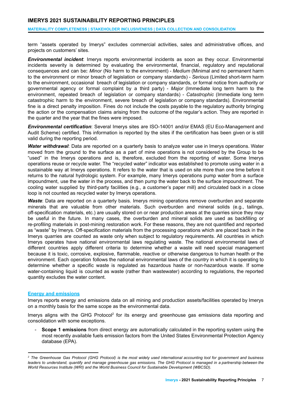#### **MATERIALITY COMPLETENESS | STAKEHOLDER INCLUSIVENESS | DATA COLLECTION AND CONSOLIDATION**

term "assets operated by Imerys" excludes commercial activities, sales and administrative offices, and projects on customers' sites.

*Environmental incident*: Imerys reports environmental incidents as soon as they occur. Environmental incidents severity is determined by evaluating the environmental, financial, regulatory and reputational consequences and can be**:** *Minor* (No harm to the environment) - *Medium* (Minimal and no permanent harm to the environment or minor breach of legislation or company standards) - *Serious* (Limited short-term harm to the environment, occasional breach of legislation or company standards, or formal notice from authority or governmental agency or formal complaint by a third party) - *Major* (Immediate long term harm to the environment, repeated breach of legislation or company standards) - *Catastrophic* (Immediate long term catastrophic harm to the environment, severe breach of legislation or company standards). Environmental fine is a direct penalty imposition. Fines do not include the costs payable to the regulatory authority bringing the action or the compensation claims arising from the outcome of the regular's action. They are reported in the quarter and the year that the fines were imposed.

*Environmental certification*: Several Imerys sites are ISO-14001 and/or EMAS (EU Eco-Management and Audit Scheme) certified. This information is reported by the sites if the certification has been given or is still valid during the reporting period.

*Water withdrawal*: Data are reported on a quarterly basis to analyze water use in Imerys operations. Water moved from the ground to the surface as a part of mine operations is not considered by the Group to be "used" in the Imerys operations and is, therefore, excluded from the reporting of water. Some Imerys operations reuse or recycle water. The "recycled water" indicator was established to promote using water in a sustainable way at Imerys operations. It refers to the water that is used on site more than one time before it returns to the natural hydrologic system. For example, many Imerys operations pump water from a surface impoundment, use the water in the process, and then pump the water back to the surface impoundment. The cooling water supplied by third-party facilities (e.g., a customer's paper mill) and circulated back in a close loop is not counted as recycled water by Imerys operations.

**Waste**: Data are reported on a quarterly basis. Imerys mining operations remove overburden and separate minerals that are valuable from other materials. Such overburden and mineral solids (e.g., tailings, off-specification materials, etc.) are usually stored on or near production areas at the quarries since they may be useful in the future. In many cases, the overburden and mineral solids are used as backfilling or re-profiling materials in post-mining restoration work. For these reasons, they are not quantified and reported as "waste" by Imerys. Off-specification materials from the processing operations which are placed back in the Imerys quarries are counted as waste only when subject to regulatory requirements. All countries in which Imerys operates have national environmental laws regulating waste. The national environmental laws of different countries apply different criteria to determine whether a waste will need special management because it is toxic, corrosive, explosive, flammable, reactive or otherwise dangerous to human health or the environment. Each operation follows the national environmental laws of the country in which it is operating to determine whether a specific waste is regulated as hazardous haste or non-hazardous waste. If some water-containing liquid is counted as waste (rather than wastewater) according to regulations, the reported quantity excludes the water content.

#### **Energy and emissions**

Imerys reports energy and emissions data on all mining and production assets/facilities operated by Imerys on a monthly basis for the same scope as the environmental data.

Imerys aligns with the GHG Protocol<sup>2</sup> for its energy and greenhouse gas emissions data reporting and consolidation with some exceptions.

- **Scope 1 emissions** from direct energy are automatically calculated in the reporting system using the most recently available fuels emission factors from the United States Environmental Protection Agency database (EPA).

<sup>&</sup>lt;sup>2</sup> The Greenhouse Gas Protocol (GHG Protocol) is the most widely used international accounting tool for government and business leaders to understand, quantify and manage greenhouse gas emissions. The GHG Protocol is managed in a partnership between the *World Resources Institute (WRI) and the World Business Council for Sustainable Development (WBCSD).*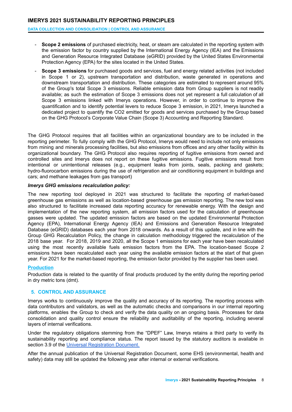**DATA COLLECTION AND CONSOLIDATION | CONTROL AND ASSURANCE**

- **Scope 2 emissions** of purchased electricity, heat, or steam are calculated in the reporting system with the emission factor by country supplied by the International Energy Agency (IEA) and the Emissions and Generation Resource Integrated Database (eGRID) provided by the United States Environmental Protection Agency (EPA) for the sites located in the United States.
- **Scope 3 emissions** for purchased goods and services, fuel and energy related activities (not included in Scope 1 or 2), upstream transportation and distribution, waste generated in operations and downstream transportation and distribution. These categories are estimated to represent around 95% of the Group's total Scope 3 emissions. Reliable emission data from Group suppliers is not readily available; as such the estimation of Scope 3 emissions does not yet represent a full calculation of all Scope 3 emissions linked with Imerys operations. However, in order to continue to improve the quantification and to identify potential levers to reduce Scope 3 emission, in 2021, Imerys launched a dedicated project to quantify the CO2 emitted for goods and services purchased by the Group based on the GHG Protocol's Corporate Value Chain (Scope 3) Accounting and Reporting Standard.

The GHG Protocol requires that all facilities within an organizational boundary are to be included in the reporting perimeter. To fully comply with the GHG Protocol, Imerys would need to include not only emissions from mining and minerals processing facilities, but also emissions from offices and any other facility within its organizational boundary. The GHG Protocol also requires reporting of fugitive emissions from owned and controlled sites and Imerys does not report on these fugitive emissions. Fugitive emissions result from intentional or unintentional releases (e.g., equipment leaks from joints, seals, packing and gaskets; hydro-fluorocarbon emissions during the use of refrigeration and air conditioning equipment in buildings and cars; and methane leakages from gas transport)

## *Imerys GHG emissions recalculation policy:*

The new reporting tool deployed in 2021 was structured to facilitate the reporting of market-based greenhouse gas emissions as well as location-based greenhouse gas emission reporting. The new tool was also structured to facilitate increased data reporting accuracy for renewable energy. With the design and implementation of the new reporting system, all emission factors used for the calculation of greenhouse gasses were updated. The updated emission factors are based on the updated Environmental Protection Agency (EPA), International Energy Agency (IEA) and Emissions and Generation Resource Integrated Database (eGRID) databases each year from 2018 onwards. As a result of this update, and in line with the Group GHG Recalculation Policy, the change in calculation methodology triggered the recalculation of the 2018 base year. For 2018, 2019 and 2020, all the Scope 1 emissions for each year have been recalculated using the most recently available fuels emission factors from the EPA. The location-based Scope 2 emissions have been recalculated each year using the available emission factors at the start of that given year. For 2021 for the market-based reporting, the emission factor provided by the supplier has been used.

# **Production**

Production data is related to the quantity of final products produced by the entity during the reporting period in dry metric tons (dmt).

# <span id="page-7-0"></span>**5. CONTROL AND ASSURANCE**

Imerys works to continuously improve the quality and accuracy of its reporting. The reporting process with data contributors and validators, as well as the automatic checks and comparisons in our internal reporting platforms, enables the Group to check and verify the data quality on an ongoing basis. Processes for data consolidation and quality control ensure the reliability and auditability of the reporting, including several layers of internal verifications.

Under the regulatory obligations stemming from the "DPEF" Law, Imerys retains a third party to verify its sustainability reporting and compliance status. The report issued by the statutory auditors is available in section 3.9 of the Universal [Registration](https://www.imerys.com/media-room/publications) Document.

After the annual publication of the Universal Registration Document, some EHS (environmental, health and safety) data may still be updated the following year after internal or external verifications.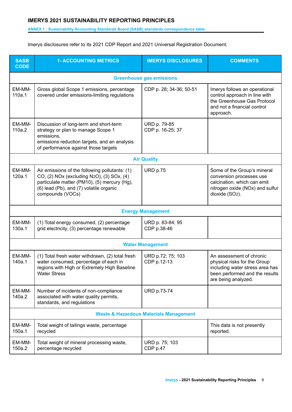## **ANNEX 1 - Sustainability Accounting Standards Board (SASB) standards correspondence table**

Imerys disclosures refer to its 2021 CDP Report and 2021 Universal Registration Document.

| <b>SASB</b><br><b>CODE</b> | <b>1- ACCOUNTING METRICS</b>                                                                                                                                                                               | <b>IMERYS DISCLOSURES</b>        | <b>COMMENTS</b>                                                                                                                                      |  |  |  |
|----------------------------|------------------------------------------------------------------------------------------------------------------------------------------------------------------------------------------------------------|----------------------------------|------------------------------------------------------------------------------------------------------------------------------------------------------|--|--|--|
|                            | <b>Greenhouse gas emissions</b>                                                                                                                                                                            |                                  |                                                                                                                                                      |  |  |  |
| EM-MM-<br>110a.1           | Gross global Scope 1 emissions, percentage<br>covered under emissions-limiting regulations                                                                                                                 | CDP p. 28; 34-36; 50-51          | Imerys follows an operational<br>control approach in line with<br>the Greenhouse Gas Protocol<br>and not a financial control<br>approach.            |  |  |  |
| EM-MM-<br>110a.2           | Discussion of long-term and short-term<br>strategy or plan to manage Scope 1<br>emissions,<br>emissions reduction targets, and an analysis<br>of performance against those targets                         | URD p. 79-85<br>CDP p. 16-25; 37 |                                                                                                                                                      |  |  |  |
|                            |                                                                                                                                                                                                            | <b>Air Quality</b>               |                                                                                                                                                      |  |  |  |
| EM-MM-<br>120a.1           | Air emissions of the following pollutants: (1)<br>CO, (2) NOx (excluding N2O), (3) SOx, (4)<br>particulate matter (PM10), (5) mercury (Hg),<br>(6) lead (Pb), and (7) volatile organic<br>compounds (VOCs) | <b>URD p.75</b>                  | Some of the Group's mineral<br>conversion processes use<br>calcination, which can emit<br>nitrogen oxide (NOx) and sulfur<br>dioxide (SO2).          |  |  |  |
|                            |                                                                                                                                                                                                            | <b>Energy Management</b>         |                                                                                                                                                      |  |  |  |
| EM-MM-<br>130a.1           | (1) Total energy consumed, (2) percentage<br>grid electricity, (3) percentage renewable                                                                                                                    | URD p. 83-84; 95<br>CDP p.38-46  |                                                                                                                                                      |  |  |  |
|                            |                                                                                                                                                                                                            | <b>Water Management</b>          |                                                                                                                                                      |  |  |  |
| EM-MM-<br>140a.1           | (1) Total fresh water withdrawn, (2) total fresh<br>water consumed, percentage of each in<br>regions with High or Extremely High Baseline<br><b>Water Stress</b>                                           | URD p.72; 75; 103<br>CDP p.12-13 | An assessment of chronic<br>physical risks for the Group<br>including water stress area has<br>been performed and the results<br>are being analyzed. |  |  |  |
| EM-MM-<br>140a.2           | Number of incidents of non-compliance<br>associated with water quality permits,<br>standards, and regulations                                                                                              | <b>URD p.73-74</b>               |                                                                                                                                                      |  |  |  |
|                            | <b>Waste &amp; Hazardous Materials Management</b>                                                                                                                                                          |                                  |                                                                                                                                                      |  |  |  |
| EM-MM-<br>150a.1           | Total weight of tailings waste, percentage<br>recycled                                                                                                                                                     |                                  | This data is not presently<br>reported.                                                                                                              |  |  |  |
| EM-MM-<br>150a.2           | Total weight of mineral processing waste,<br>percentage recycled                                                                                                                                           | URD p. 75; 103<br>CDP p.47       |                                                                                                                                                      |  |  |  |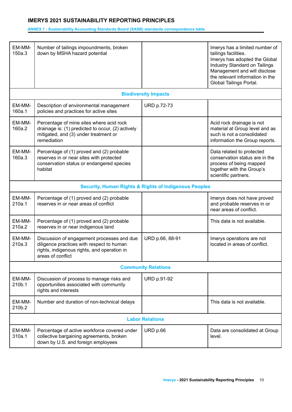## **ANNEX 1 - Sustainability Accounting Standards Board (SASB) standards correspondence table**

| EM-MM-<br>150a.3 | Number of tailings impoundments, broken<br>down by MSHA hazard potential                                                                                    |                                                                  | Imerys has a limited number of<br>tailings facilities.<br>Imerys has adopted the Global<br>Industry Standard on Tailings<br>Management and will disclose<br>the relevant information in the<br>Global Tailings Portal. |  |  |
|------------------|-------------------------------------------------------------------------------------------------------------------------------------------------------------|------------------------------------------------------------------|------------------------------------------------------------------------------------------------------------------------------------------------------------------------------------------------------------------------|--|--|
|                  |                                                                                                                                                             | <b>Biodiversity Impacts</b>                                      |                                                                                                                                                                                                                        |  |  |
| EM-MM-<br>160a.1 | Description of environmental management<br>policies and practices for active sites                                                                          | <b>URD p.72-73</b>                                               |                                                                                                                                                                                                                        |  |  |
| EM-MM-<br>160a.2 | Percentage of mine sites where acid rock<br>drainage is: (1) predicted to occur, (2) actively<br>mitigated, and (3) under treatment or<br>remediation       |                                                                  | Acid rock drainage is not<br>material at Group level and as<br>such is not a consolidated<br>information the Group reports.                                                                                            |  |  |
| EM-MM-<br>160a.3 | Percentage of (1) proved and (2) probable<br>reserves in or near sites with protected<br>conservation status or endangered species<br>habitat               |                                                                  | Data related to protected<br>conservation status are in the<br>process of being mapped<br>together with the Group's<br>scientific partners.                                                                            |  |  |
|                  |                                                                                                                                                             | <b>Security, Human Rights &amp; Rights of Indigenous Peoples</b> |                                                                                                                                                                                                                        |  |  |
| EM-MM-<br>210a.1 | Percentage of (1) proved and (2) probable<br>reserves in or near areas of conflict                                                                          |                                                                  | Imerys does not have proved<br>and probable reserves in or<br>near areas of conflict.                                                                                                                                  |  |  |
| EM-MM-<br>210a.2 | Percentage of (1) proved and (2) probable<br>reserves in or near indigenous land                                                                            |                                                                  | This data is not available.                                                                                                                                                                                            |  |  |
| EM-MM-<br>210a.3 | Discussion of engagement processes and due<br>diligence practices with respect to human<br>rights, indigenous rights, and operation in<br>areas of conflict | URD p.66, 88-91                                                  | Imerys operations are not<br>located in areas of conflict.                                                                                                                                                             |  |  |
|                  |                                                                                                                                                             | <b>Community Relations</b>                                       |                                                                                                                                                                                                                        |  |  |
| EM-MM-<br>210b.1 | Discussion of process to manage risks and<br>opportunities associated with community<br>rights and interests                                                | <b>URD p.91-92</b>                                               |                                                                                                                                                                                                                        |  |  |
| EM-MM-<br>210b.2 | Number and duration of non-technical delays                                                                                                                 |                                                                  | This data is not available.                                                                                                                                                                                            |  |  |
|                  | <b>Labor Relations</b>                                                                                                                                      |                                                                  |                                                                                                                                                                                                                        |  |  |
| EM-MM-<br>310a.1 | Percentage of active workforce covered under<br>collective bargaining agreements, broken<br>down by U.S. and foreign employees                              | URD p.66                                                         | Data are consolidated at Group<br>level.                                                                                                                                                                               |  |  |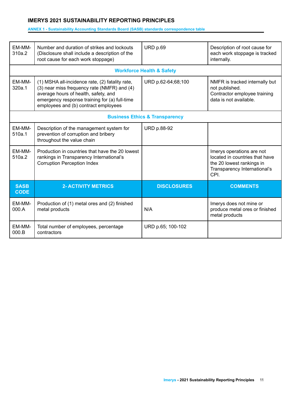## **ANNEX 1 - Sustainability Accounting Standards Board (SASB) standards correspondence table**

| EM-MM-<br>310a.2           | Number and duration of strikes and lockouts<br>(Disclosure shall include a description of the<br>root cause for each work stoppage)                                                                                             | URD p.69                                  | Description of root cause for<br>each work stoppage is tracked<br>internally.                                                    |
|----------------------------|---------------------------------------------------------------------------------------------------------------------------------------------------------------------------------------------------------------------------------|-------------------------------------------|----------------------------------------------------------------------------------------------------------------------------------|
|                            |                                                                                                                                                                                                                                 | <b>Workforce Health &amp; Safety</b>      |                                                                                                                                  |
| EM-MM-<br>320a.1           | (1) MSHA all-incidence rate, (2) fatality rate,<br>(3) near miss frequency rate (NMFR) and (4)<br>average hours of health, safety, and<br>emergency response training for (a) full-time<br>employees and (b) contract employees | URD p.62-64;68;100                        | NMFR is tracked internally but<br>not published.<br>Contractor employee training<br>data is not available.                       |
|                            |                                                                                                                                                                                                                                 | <b>Business Ethics &amp; Transparency</b> |                                                                                                                                  |
| <b>EM-MM-</b><br>510a.1    | Description of the management system for<br>prevention of corruption and bribery<br>throughout the value chain                                                                                                                  | <b>URD p.88-92</b>                        |                                                                                                                                  |
| EM-MM-<br>510a.2           | Production in countries that have the 20 lowest<br>rankings in Transparency International's<br><b>Corruption Perception Index</b>                                                                                               |                                           | Imerys operations are not<br>located in countries that have<br>the 20 lowest rankings in<br>Transparency International's<br>CPI. |
| <b>SASB</b><br><b>CODE</b> | <b>2- ACTIVITY METRICS</b>                                                                                                                                                                                                      | <b>DISCLOSURES</b>                        | <b>COMMENTS</b>                                                                                                                  |
| EM-MM-<br>000.A            | Production of (1) metal ores and (2) finished<br>metal products                                                                                                                                                                 | N/A                                       | Imerys does not mine or<br>produce metal ores or finished<br>metal products                                                      |
| EM-MM-<br>000.B            | Total number of employees, percentage<br>contractors                                                                                                                                                                            | URD p.65; 100-102                         |                                                                                                                                  |